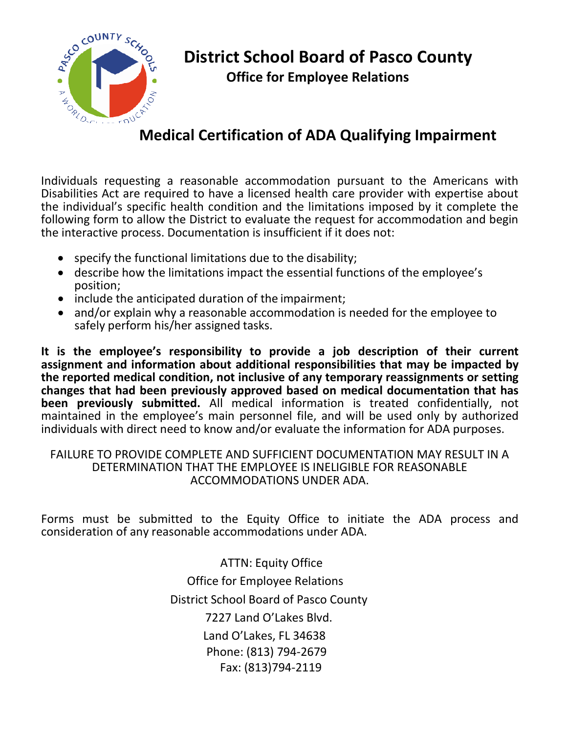

# **Medical Certification of ADA Qualifying Impairment**

Individuals requesting a reasonable accommodation pursuant to the Americans with Disabilities Act are required to have a licensed health care provider with expertise about the individual's specific health condition and the limitations imposed by it complete the following form to allow the District to evaluate the request for accommodation and begin the interactive process. Documentation is insufficient if it does not:

- specify the functional limitations due to the disability;
- describe how the limitations impact the essential functions of the employee's position;
- include the anticipated duration of the impairment;
- and/or explain why a reasonable accommodation is needed for the employee to safely perform his/her assigned tasks.

**It is the employee's responsibility to provide a job description of their current assignment and information about additional responsibilities that may be impacted by the reported medical condition, not inclusive of any temporary reassignments or setting changes that had been previously approved based on medical documentation that has been previously submitted.** All medical information is treated confidentially, not maintained in the employee's main personnel file, and will be used only by authorized individuals with direct need to know and/or evaluate the information for ADA purposes.

#### FAILURE TO PROVIDE COMPLETE AND SUFFICIENT DOCUMENTATION MAY RESULT IN A DETERMINATION THAT THE EMPLOYEE IS INELIGIBLE FOR REASONABLE ACCOMMODATIONS UNDER ADA.

Forms must be submitted to the Equity Office to initiate the ADA process and consideration of any reasonable accommodations under ADA.

> ATTN: Equity Office Office for Employee Relations District School Board of Pasco County 7227 Land O'Lakes Blvd. Land O'Lakes, FL 34638 Phone: (813) 794-2679 Fax: (813)794-2119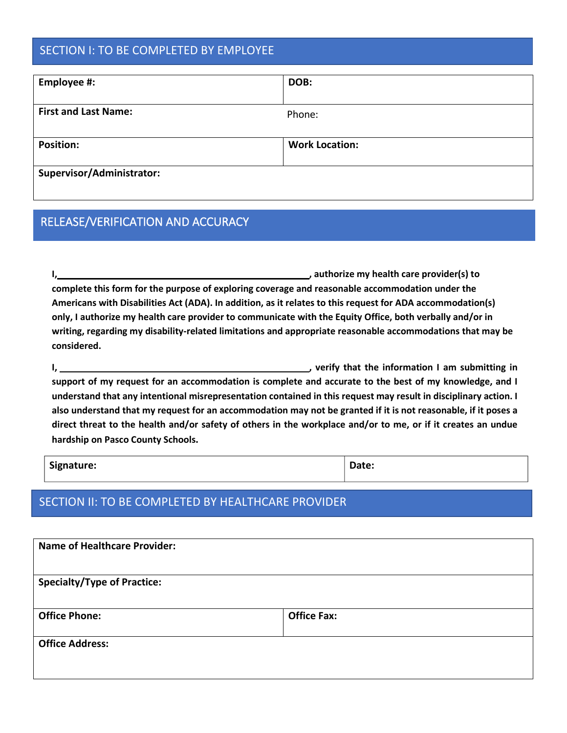### SECTION I: TO BE COMPLETED BY EMPLOYEE

| Employee #:                 | DOB:                  |  |  |
|-----------------------------|-----------------------|--|--|
| <b>First and Last Name:</b> | Phone:                |  |  |
| <b>Position:</b>            | <b>Work Location:</b> |  |  |
| Supervisor/Administrator:   |                       |  |  |

# RELEASE/VERIFICATION AND ACCURACY

**I**, *I* **complete this form for the purpose of exploring coverage and reasonable accommodation under the Americans with Disabilities Act (ADA). In addition, as it relates to this request for ADA accommodation(s) only, I authorize my health care provider to communicate with the Equity Office, both verbally and/or in writing, regarding my disability-related limitations and appropriate reasonable accommodations that may be considered.**

**I, , verify that the information I am submitting in support of my request for an accommodation is complete and accurate to the best of my knowledge, and I understand that any intentional misrepresentation contained in this request may result in disciplinary action. I also understand that my request for an accommodation may not be granted if it is not reasonable, if it poses a direct threat to the health and/or safety of others in the workplace and/or to me, or if it creates an undue hardship on Pasco County Schools.** 

| Signature: | Date: |
|------------|-------|
|            |       |

### SECTION II: TO BE COMPLETED BY HEALTHCARE PROVIDER

| <b>Name of Healthcare Provider:</b> |                    |  |
|-------------------------------------|--------------------|--|
| <b>Specialty/Type of Practice:</b>  |                    |  |
| <b>Office Phone:</b>                | <b>Office Fax:</b> |  |
| <b>Office Address:</b>              |                    |  |
|                                     |                    |  |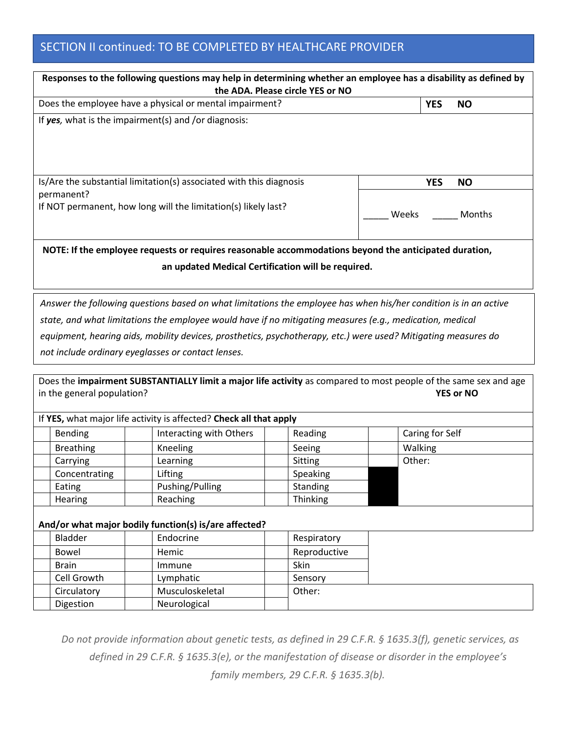## SECTION II continued: TO BE COMPLETED BY HEALTHCARE PROVIDER

| Responses to the following questions may help in determining whether an employee has a disability as defined by<br>the ADA. Please circle YES or NO                                                                                                                                                                                                                                                                                                                                                                                                                        |                                                                    |                         |                         |  |  |
|----------------------------------------------------------------------------------------------------------------------------------------------------------------------------------------------------------------------------------------------------------------------------------------------------------------------------------------------------------------------------------------------------------------------------------------------------------------------------------------------------------------------------------------------------------------------------|--------------------------------------------------------------------|-------------------------|-------------------------|--|--|
|                                                                                                                                                                                                                                                                                                                                                                                                                                                                                                                                                                            | Does the employee have a physical or mental impairment?            |                         | <b>YES</b><br><b>NO</b> |  |  |
|                                                                                                                                                                                                                                                                                                                                                                                                                                                                                                                                                                            | If $yes$ , what is the impairment(s) and /or diagnosis:            |                         |                         |  |  |
| Is/Are the substantial limitation(s) associated with this diagnosis                                                                                                                                                                                                                                                                                                                                                                                                                                                                                                        |                                                                    | <b>YES</b><br><b>NO</b> |                         |  |  |
| permanent?<br>If NOT permanent, how long will the limitation(s) likely last?                                                                                                                                                                                                                                                                                                                                                                                                                                                                                               |                                                                    | Weeks<br>Months         |                         |  |  |
| NOTE: If the employee requests or requires reasonable accommodations beyond the anticipated duration,<br>an updated Medical Certification will be required.                                                                                                                                                                                                                                                                                                                                                                                                                |                                                                    |                         |                         |  |  |
| Answer the following questions based on what limitations the employee has when his/her condition is in an active<br>state, and what limitations the employee would have if no mitigating measures (e.g., medication, medical<br>equipment, hearing aids, mobility devices, prosthetics, psychotherapy, etc.) were used? Mitigating measures do<br>not include ordinary eyeglasses or contact lenses.<br>Does the impairment SUBSTANTIALLY limit a major life activity as compared to most people of the same sex and age<br>in the general population?<br><b>YES or NO</b> |                                                                    |                         |                         |  |  |
|                                                                                                                                                                                                                                                                                                                                                                                                                                                                                                                                                                            | If YES, what major life activity is affected? Check all that apply |                         |                         |  |  |
| Bending                                                                                                                                                                                                                                                                                                                                                                                                                                                                                                                                                                    | Interacting with Others                                            | Reading                 | Caring for Self         |  |  |
| <b>Breathing</b>                                                                                                                                                                                                                                                                                                                                                                                                                                                                                                                                                           | Kneeling                                                           | Seeing                  | Walking                 |  |  |
| Carrying                                                                                                                                                                                                                                                                                                                                                                                                                                                                                                                                                                   | Learning                                                           | Sitting                 | Other:                  |  |  |
| Concentrating                                                                                                                                                                                                                                                                                                                                                                                                                                                                                                                                                              | Lifting                                                            | Speaking                |                         |  |  |
| Eating                                                                                                                                                                                                                                                                                                                                                                                                                                                                                                                                                                     | Pushing/Pulling                                                    | Standing                |                         |  |  |
| Hearing                                                                                                                                                                                                                                                                                                                                                                                                                                                                                                                                                                    | Reaching                                                           | Thinking                |                         |  |  |
|                                                                                                                                                                                                                                                                                                                                                                                                                                                                                                                                                                            | And/or what major bodily function(s) is/are affected?              |                         |                         |  |  |
| Bladder                                                                                                                                                                                                                                                                                                                                                                                                                                                                                                                                                                    | Endocrine                                                          | Respiratory             |                         |  |  |
| Bowel                                                                                                                                                                                                                                                                                                                                                                                                                                                                                                                                                                      | Hemic                                                              | Reproductive            |                         |  |  |
| <b>Brain</b>                                                                                                                                                                                                                                                                                                                                                                                                                                                                                                                                                               | Immune                                                             | Skin                    |                         |  |  |
| Cell Growth                                                                                                                                                                                                                                                                                                                                                                                                                                                                                                                                                                | Lymphatic                                                          | Sensory                 |                         |  |  |
| Circulatory                                                                                                                                                                                                                                                                                                                                                                                                                                                                                                                                                                | Musculoskeletal                                                    | Other:                  |                         |  |  |
| Digestion                                                                                                                                                                                                                                                                                                                                                                                                                                                                                                                                                                  | Neurological                                                       |                         |                         |  |  |

*Do not provide information about genetic tests, as defined in 29 C.F.R. § 1635.3(f), genetic services, as defined in 29 C.F.R. § 1635.3(e), or the manifestation of disease or disorder in the employee's family members, 29 C.F.R. § 1635.3(b).*